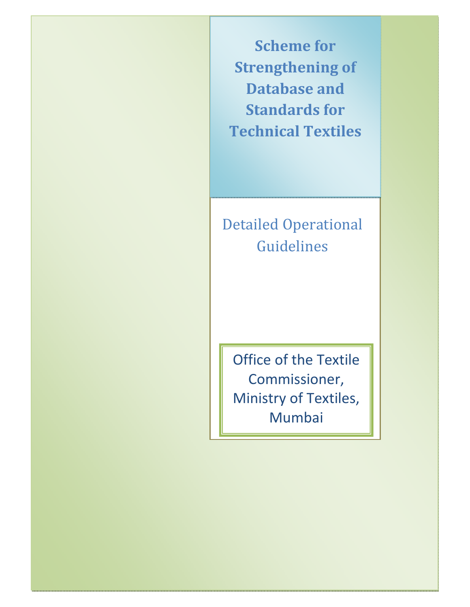**Scheme for Strengthening of Database and Standards for Technical Textiles**

# Detailed Operational Guidelines

Office of the Textile Commissioner, Ministry of Textiles, Mumbai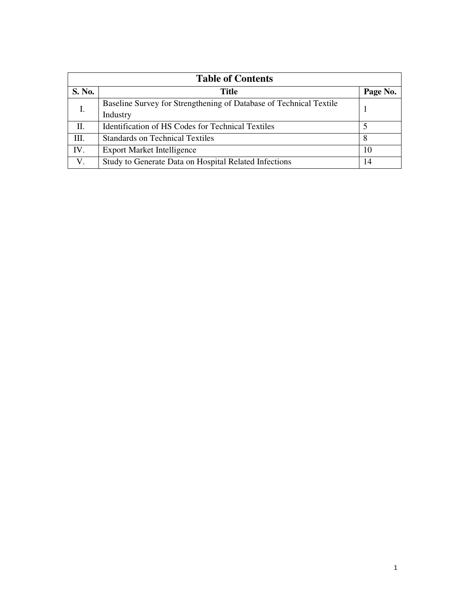| <b>Table of Contents</b> |                                                                    |          |  |  |  |
|--------------------------|--------------------------------------------------------------------|----------|--|--|--|
| S. No.                   | Title                                                              | Page No. |  |  |  |
| Ι.                       | Baseline Survey for Strengthening of Database of Technical Textile |          |  |  |  |
|                          | Industry                                                           |          |  |  |  |
| Π.                       | <b>Identification of HS Codes for Technical Textiles</b>           |          |  |  |  |
| Ш.                       | <b>Standards on Technical Textiles</b>                             | 8        |  |  |  |
| IV.                      | <b>Export Market Intelligence</b>                                  | 10       |  |  |  |
| V.                       | Study to Generate Data on Hospital Related Infections              | 14       |  |  |  |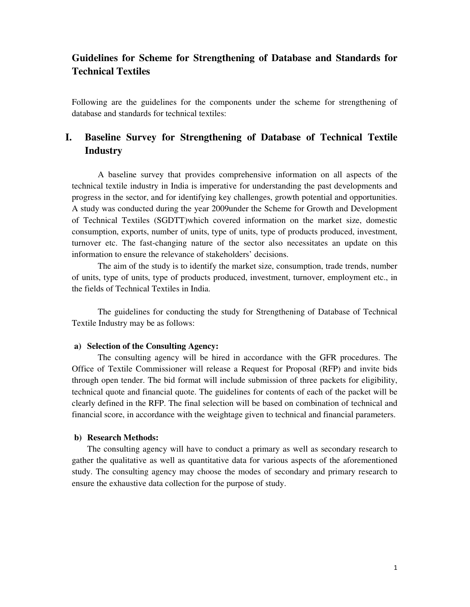# **Guidelines for Scheme for Strengthening of Database and Standards for Technical Textiles**

Following are the guidelines for the components under the scheme for strengthening of database and standards for technical textiles:

# **I. Baseline Survey for Strengthening of Database of Technical Textile Industry**

A baseline survey that provides comprehensive information on all aspects of the technical textile industry in India is imperative for understanding the past developments and progress in the sector, and for identifying key challenges, growth potential and opportunities. A study was conducted during the year 2009under the Scheme for Growth and Development of Technical Textiles (SGDTT)which covered information on the market size, domestic consumption, exports, number of units, type of units, type of products produced, investment, turnover etc. The fast-changing nature of the sector also necessitates an update on this information to ensure the relevance of stakeholders' decisions.

The aim of the study is to identify the market size, consumption, trade trends, number of units, type of units, type of products produced, investment, turnover, employment etc., in the fields of Technical Textiles in India.

The guidelines for conducting the study for Strengthening of Database of Technical Textile Industry may be as follows:

#### **a) Selection of the Consulting Agency:**

The consulting agency will be hired in accordance with the GFR procedures. The Office of Textile Commissioner will release a Request for Proposal (RFP) and invite bids through open tender. The bid format will include submission of three packets for eligibility, technical quote and financial quote. The guidelines for contents of each of the packet will be clearly defined in the RFP. The final selection will be based on combination of technical and financial score, in accordance with the weightage given to technical and financial parameters.

#### **b) Research Methods:**

The consulting agency will have to conduct a primary as well as secondary research to gather the qualitative as well as quantitative data for various aspects of the aforementioned study. The consulting agency may choose the modes of secondary and primary research to ensure the exhaustive data collection for the purpose of study.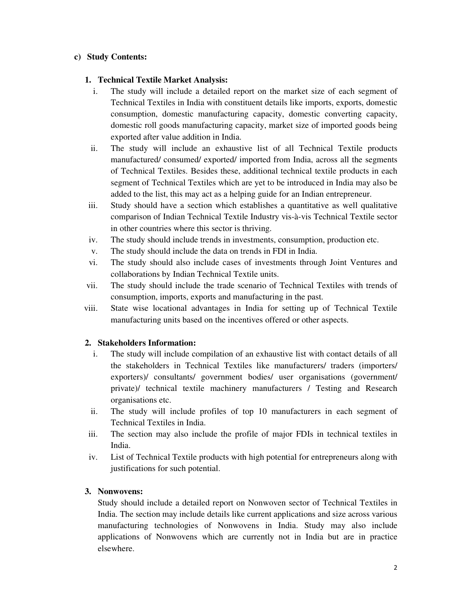# **c) Study Contents:**

## **1. Technical Textile Market Analysis:**

- i. The study will include a detailed report on the market size of each segment of Technical Textiles in India with constituent details like imports, exports, domestic consumption, domestic manufacturing capacity, domestic converting capacity, domestic roll goods manufacturing capacity, market size of imported goods being exported after value addition in India.
- ii. The study will include an exhaustive list of all Technical Textile products manufactured/ consumed/ exported/ imported from India, across all the segments of Technical Textiles. Besides these, additional technical textile products in each segment of Technical Textiles which are yet to be introduced in India may also be added to the list, this may act as a helping guide for an Indian entrepreneur.
- iii. Study should have a section which establishes a quantitative as well qualitative comparison of Indian Technical Textile Industry vis-à-vis Technical Textile sector in other countries where this sector is thriving.
- iv. The study should include trends in investments, consumption, production etc.
- v. The study should include the data on trends in FDI in India.
- vi. The study should also include cases of investments through Joint Ventures and collaborations by Indian Technical Textile units.
- vii. The study should include the trade scenario of Technical Textiles with trends of consumption, imports, exports and manufacturing in the past.
- viii. State wise locational advantages in India for setting up of Technical Textile manufacturing units based on the incentives offered or other aspects.

#### **2. Stakeholders Information:**

- i. The study will include compilation of an exhaustive list with contact details of all the stakeholders in Technical Textiles like manufacturers/ traders (importers/ exporters)/ consultants/ government bodies/ user organisations (government/ private)/ technical textile machinery manufacturers / Testing and Research organisations etc.
- ii. The study will include profiles of top 10 manufacturers in each segment of Technical Textiles in India.
- iii. The section may also include the profile of major FDIs in technical textiles in India.
- iv. List of Technical Textile products with high potential for entrepreneurs along with justifications for such potential.

# **3. Nonwovens:**

Study should include a detailed report on Nonwoven sector of Technical Textiles in India. The section may include details like current applications and size across various manufacturing technologies of Nonwovens in India. Study may also include applications of Nonwovens which are currently not in India but are in practice elsewhere.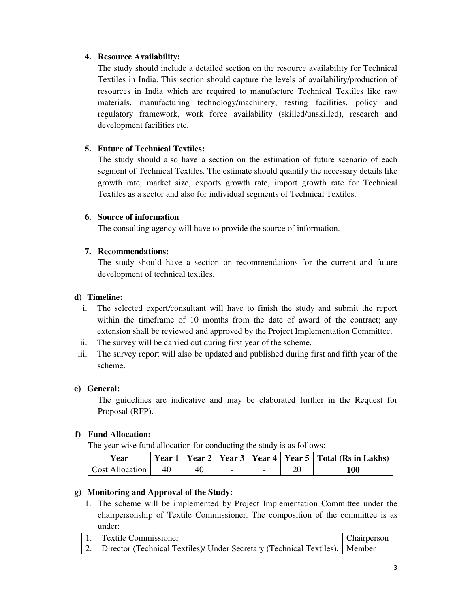# **4. Resource Availability:**

The study should include a detailed section on the resource availability for Technical Textiles in India. This section should capture the levels of availability/production of resources in India which are required to manufacture Technical Textiles like raw materials, manufacturing technology/machinery, testing facilities, policy and regulatory framework, work force availability (skilled/unskilled), research and development facilities etc.

## **5. Future of Technical Textiles:**

The study should also have a section on the estimation of future scenario of each segment of Technical Textiles. The estimate should quantify the necessary details like growth rate, market size, exports growth rate, import growth rate for Technical Textiles as a sector and also for individual segments of Technical Textiles.

#### **6. Source of information**

The consulting agency will have to provide the source of information.

## **7. Recommendations:**

The study should have a section on recommendations for the current and future development of technical textiles.

## **d) Timeline:**

- i. The selected expert/consultant will have to finish the study and submit the report within the timeframe of 10 months from the date of award of the contract; any extension shall be reviewed and approved by the Project Implementation Committee.
- ii. The survey will be carried out during first year of the scheme.
- iii. The survey report will also be updated and published during first and fifth year of the scheme.

#### **e) General:**

The guidelines are indicative and may be elaborated further in the Request for Proposal (RFP).

#### **f) Fund Allocation:**

The year wise fund allocation for conducting the study is as follows:

| Year            |    |    |  | Year 1   Year 2   Year 3   Year 4   Year 5   Total (Rs in Lakhs) |
|-----------------|----|----|--|------------------------------------------------------------------|
| Cost Allocation | 40 | 40 |  | 100                                                              |

# **g) Monitoring and Approval of the Study:**

1. The scheme will be implemented by Project Implementation Committee under the chairpersonship of Textile Commissioner. The composition of the committee is as under:

| 1. Textile Commissioner                                                            | Chairperson |
|------------------------------------------------------------------------------------|-------------|
| 2.   Director (Technical Textiles)/ Under Secretary (Technical Textiles),   Member |             |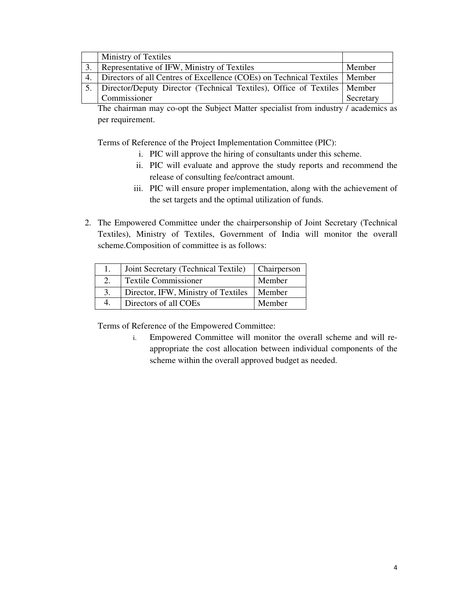| <b>Ministry of Textiles</b>                                                  |           |
|------------------------------------------------------------------------------|-----------|
| Representative of IFW, Ministry of Textiles                                  | Member    |
| Directors of all Centres of Excellence (COEs) on Technical Textiles   Member |           |
| Director/Deputy Director (Technical Textiles), Office of Textiles   Member   |           |
| Commissioner                                                                 | Secretary |

The chairman may co-opt the Subject Matter specialist from industry / academics as per requirement.

Terms of Reference of the Project Implementation Committee (PIC):

- i. PIC will approve the hiring of consultants under this scheme.
- ii. PIC will evaluate and approve the study reports and recommend the release of consulting fee/contract amount.
- iii. PIC will ensure proper implementation, along with the achievement of the set targets and the optimal utilization of funds.
- 2. The Empowered Committee under the chairpersonship of Joint Secretary (Technical Textiles), Ministry of Textiles, Government of India will monitor the overall scheme.Composition of committee is as follows:

|    | Joint Secretary (Technical Textile) | <b>Chairperson</b> |
|----|-------------------------------------|--------------------|
|    | <b>Textile Commissioner</b>         | Member             |
| 3. | Director, IFW, Ministry of Textiles | Member             |
| 4. | Directors of all COEs               | Member             |

Terms of Reference of the Empowered Committee: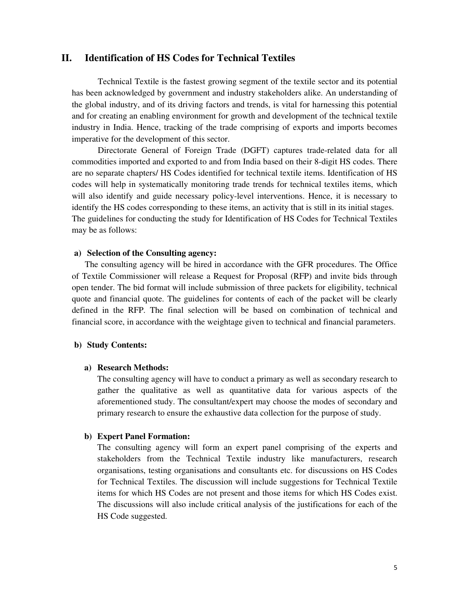## **II. Identification of HS Codes for Technical Textiles**

Technical Textile is the fastest growing segment of the textile sector and its potential has been acknowledged by government and industry stakeholders alike. An understanding of the global industry, and of its driving factors and trends, is vital for harnessing this potential and for creating an enabling environment for growth and development of the technical textile industry in India. Hence, tracking of the trade comprising of exports and imports becomes imperative for the development of this sector.

Directorate General of Foreign Trade (DGFT) captures trade-related data for all commodities imported and exported to and from India based on their 8-digit HS codes. There are no separate chapters/ HS Codes identified for technical textile items. Identification of HS codes will help in systematically monitoring trade trends for technical textiles items, which will also identify and guide necessary policy-level interventions. Hence, it is necessary to identify the HS codes corresponding to these items, an activity that is still in its initial stages. The guidelines for conducting the study for Identification of HS Codes for Technical Textiles may be as follows:

#### **a) Selection of the Consulting agency:**

 The consulting agency will be hired in accordance with the GFR procedures. The Office of Textile Commissioner will release a Request for Proposal (RFP) and invite bids through open tender. The bid format will include submission of three packets for eligibility, technical quote and financial quote. The guidelines for contents of each of the packet will be clearly defined in the RFP. The final selection will be based on combination of technical and financial score, in accordance with the weightage given to technical and financial parameters.

#### **b) Study Contents:**

#### **a) Research Methods:**

The consulting agency will have to conduct a primary as well as secondary research to gather the qualitative as well as quantitative data for various aspects of the aforementioned study. The consultant/expert may choose the modes of secondary and primary research to ensure the exhaustive data collection for the purpose of study.

#### **b) Expert Panel Formation:**

The consulting agency will form an expert panel comprising of the experts and stakeholders from the Technical Textile industry like manufacturers, research organisations, testing organisations and consultants etc. for discussions on HS Codes for Technical Textiles. The discussion will include suggestions for Technical Textile items for which HS Codes are not present and those items for which HS Codes exist. The discussions will also include critical analysis of the justifications for each of the HS Code suggested.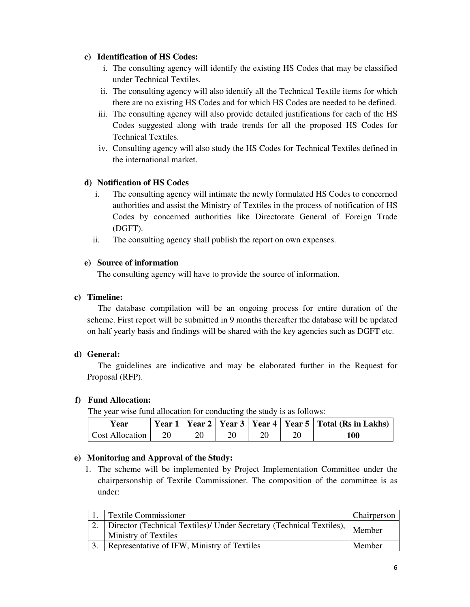## **c) Identification of HS Codes:**

- i. The consulting agency will identify the existing HS Codes that may be classified under Technical Textiles.
- ii. The consulting agency will also identify all the Technical Textile items for which there are no existing HS Codes and for which HS Codes are needed to be defined.
- iii. The consulting agency will also provide detailed justifications for each of the HS Codes suggested along with trade trends for all the proposed HS Codes for Technical Textiles.
- iv. Consulting agency will also study the HS Codes for Technical Textiles defined in the international market.

# **d) Notification of HS Codes**

- i. The consulting agency will intimate the newly formulated HS Codes to concerned authorities and assist the Ministry of Textiles in the process of notification of HS Codes by concerned authorities like Directorate General of Foreign Trade (DGFT).
- ii. The consulting agency shall publish the report on own expenses.

# **e) Source of information**

The consulting agency will have to provide the source of information.

# **c) Timeline:**

The database compilation will be an ongoing process for entire duration of the scheme. First report will be submitted in 9 months thereafter the database will be updated on half yearly basis and findings will be shared with the key agencies such as DGFT etc.

# **d) General:**

The guidelines are indicative and may be elaborated further in the Request for Proposal (RFP).

# **f) Fund Allocation:**

The year wise fund allocation for conducting the study is as follows:

| Year                   |    |  |    | Year 1   Year 2   Year 3   Year 4   Year 5   Total (Rs in Lakhs) |
|------------------------|----|--|----|------------------------------------------------------------------|
| <b>Cost Allocation</b> | 20 |  | 20 | 100                                                              |

# **e) Monitoring and Approval of the Study:**

1. The scheme will be implemented by Project Implementation Committee under the chairpersonship of Textile Commissioner. The composition of the committee is as under:

| <b>Textile Commissioner</b>                                                                                           | Chairperson |
|-----------------------------------------------------------------------------------------------------------------------|-------------|
| Texture 21 Director (Technical Textiles)/ Under Secretary (Technical Textiles), Member<br><b>Ministry of Textiles</b> |             |
| Representative of IFW, Ministry of Textiles                                                                           | Member      |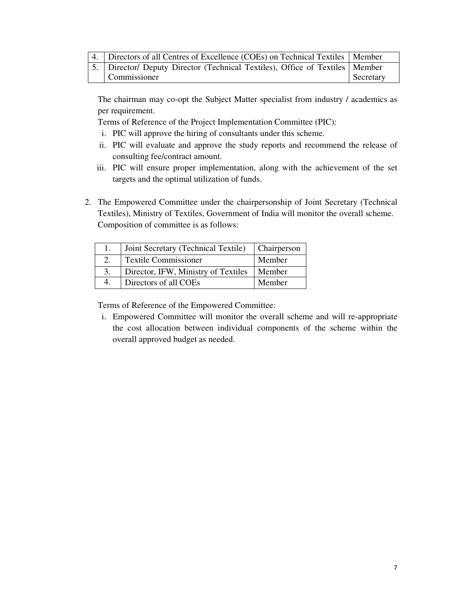| 4. Directors of all Centres of Excellence (COEs) on Technical Textiles   Member |           |
|---------------------------------------------------------------------------------|-----------|
| 5. Director/ Deputy Director (Technical Textiles), Office of Textiles   Member  |           |
| Commissioner                                                                    | Secretary |

The chairman may co-opt the Subject Matter specialist from industry / academics as per requirement.

Terms of Reference of the Project Implementation Committee (PIC):

- i. PIC will approve the hiring of consultants under this scheme.
- ii. PIC will evaluate and approve the study reports and recommend the release of consulting fee/contract amount.
- iii. PIC will ensure proper implementation, along with the achievement of the set targets and the optimal utilization of funds.
- 2. The Empowered Committee under the chairpersonship of Joint Secretary (Technical Textiles), Ministry of Textiles, Government of India will monitor the overall scheme. Composition of committee is as follows:

| Joint Secretary (Technical Textile) | <b>Chairperson</b> |
|-------------------------------------|--------------------|
| <b>Textile Commissioner</b>         | Member             |
| Director, IFW, Ministry of Textiles | Member             |
| Directors of all COEs               | Member             |

Terms of Reference of the Empowered Committee: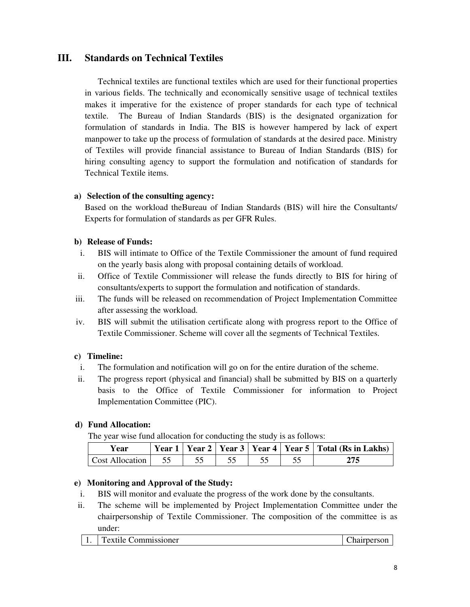# **III. Standards on Technical Textiles**

Technical textiles are functional textiles which are used for their functional properties in various fields. The technically and economically sensitive usage of technical textiles makes it imperative for the existence of proper standards for each type of technical textile. The Bureau of Indian Standards (BIS) is the designated organization for formulation of standards in India. The BIS is however hampered by lack of expert manpower to take up the process of formulation of standards at the desired pace. Ministry of Textiles will provide financial assistance to Bureau of Indian Standards (BIS) for hiring consulting agency to support the formulation and notification of standards for Technical Textile items.

## **a) Selection of the consulting agency:**

Based on the workload theBureau of Indian Standards (BIS) will hire the Consultants/ Experts for formulation of standards as per GFR Rules.

## **b) Release of Funds:**

- i. BIS will intimate to Office of the Textile Commissioner the amount of fund required on the yearly basis along with proposal containing details of workload.
- ii. Office of Textile Commissioner will release the funds directly to BIS for hiring of consultants/experts to support the formulation and notification of standards.
- iii. The funds will be released on recommendation of Project Implementation Committee after assessing the workload.
- iv. BIS will submit the utilisation certificate along with progress report to the Office of Textile Commissioner. Scheme will cover all the segments of Technical Textiles.

# **c) Timeline:**

- i. The formulation and notification will go on for the entire duration of the scheme.
- ii. The progress report (physical and financial) shall be submitted by BIS on a quarterly basis to the Office of Textile Commissioner for information to Project Implementation Committee (PIC).

# **d) Fund Allocation:**

The year wise fund allocation for conducting the study is as follows:

| Year               |  |  | Year 1   Year 2   Year 3   Year 4   Year 5   Total (Rs in Lakhs) |
|--------------------|--|--|------------------------------------------------------------------|
| Cost Allocation 55 |  |  | 275                                                              |

# **e) Monitoring and Approval of the Study:**

- i. BIS will monitor and evaluate the progress of the work done by the consultants.
- ii. The scheme will be implemented by Project Implementation Committee under the chairpersonship of Textile Commissioner. The composition of the committee is as under: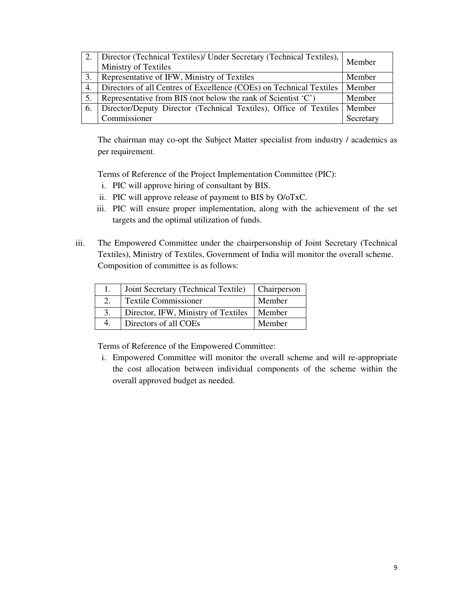|    | Director (Technical Textiles)/ Under Secretary (Technical Textiles), Member<br>Ministry of Textiles |           |
|----|-----------------------------------------------------------------------------------------------------|-----------|
|    | Representative of IFW, Ministry of Textiles                                                         | Member    |
| 4. | Directors of all Centres of Excellence (COEs) on Technical Textiles                                 | Member    |
|    | Representative from BIS (not below the rank of Scientist $(C)$ )                                    | Member    |
| 6. | Director/Deputy Director (Technical Textiles), Office of Textiles                                   | Member    |
|    | Commissioner                                                                                        | Secretary |

The chairman may co-opt the Subject Matter specialist from industry / academics as per requirement.

Terms of Reference of the Project Implementation Committee (PIC):

- i. PIC will approve hiring of consultant by BIS.
- ii. PIC will approve release of payment to BIS by O/oTxC.
- iii. PIC will ensure proper implementation, along with the achievement of the set targets and the optimal utilization of funds.
- iii. The Empowered Committee under the chairpersonship of Joint Secretary (Technical Textiles), Ministry of Textiles, Government of India will monitor the overall scheme. Composition of committee is as follows:

|    | Joint Secretary (Technical Textile) | Chairperson |
|----|-------------------------------------|-------------|
|    | <b>Textile Commissioner</b>         | Member      |
| 3. | Director, IFW, Ministry of Textiles | Member      |
| 4. | Directors of all COEs               | Member      |

Terms of Reference of the Empowered Committee: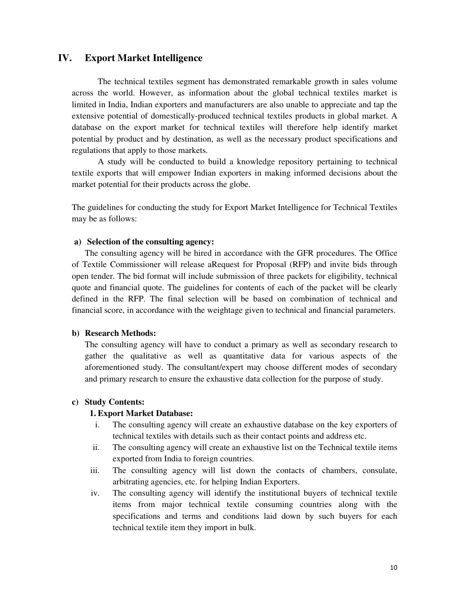## **IV. Export Market Intelligence**

The technical textiles segment has demonstrated remarkable growth in sales volume across the world. However, as information about the global technical textiles market is limited in India, Indian exporters and manufacturers are also unable to appreciate and tap the extensive potential of domestically-produced technical textiles products in global market. A database on the export market for technical textiles will therefore help identify market potential by product and by destination, as well as the necessary product specifications and regulations that apply to those markets.

A study will be conducted to build a knowledge repository pertaining to technical textile exports that will empower Indian exporters in making informed decisions about the market potential for their products across the globe.

The guidelines for conducting the study for Export Market Intelligence for Technical Textiles may be as follows:

#### **a) Selection of the consulting agency:**

The consulting agency will be hired in accordance with the GFR procedures. The Office of Textile Commissioner will release aRequest for Proposal (RFP) and invite bids through open tender. The bid format will include submission of three packets for eligibility, technical quote and financial quote. The guidelines for contents of each of the packet will be clearly defined in the RFP. The final selection will be based on combination of technical and financial score, in accordance with the weightage given to technical and financial parameters.

#### **b) Research Methods:**

The consulting agency will have to conduct a primary as well as secondary research to gather the qualitative as well as quantitative data for various aspects of the aforementioned study. The consultant/expert may choose different modes of secondary and primary research to ensure the exhaustive data collection for the purpose of study.

#### **c) Study Contents:**

#### **1. Export Market Database:**

- i. The consulting agency will create an exhaustive database on the key exporters of technical textiles with details such as their contact points and address etc.
- ii. The consulting agency will create an exhaustive list on the Technical textile items exported from India to foreign countries.
- iii. The consulting agency will list down the contacts of chambers, consulate, arbitrating agencies, etc. for helping Indian Exporters.
- iv. The consulting agency will identify the institutional buyers of technical textile items from major technical textile consuming countries along with the specifications and terms and conditions laid down by such buyers for each technical textile item they import in bulk.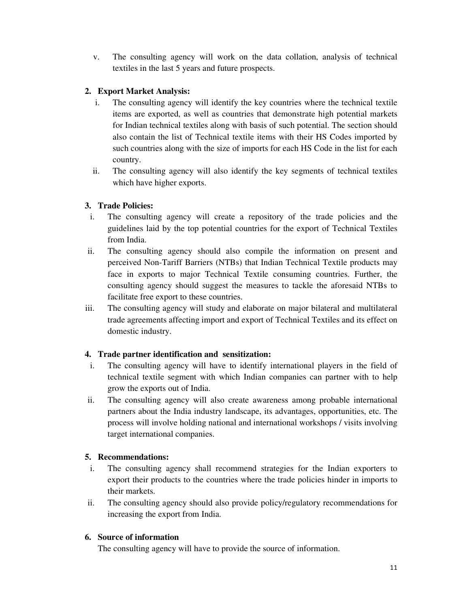v. The consulting agency will work on the data collation, analysis of technical textiles in the last 5 years and future prospects.

# **2. Export Market Analysis:**

- i. The consulting agency will identify the key countries where the technical textile items are exported, as well as countries that demonstrate high potential markets for Indian technical textiles along with basis of such potential. The section should also contain the list of Technical textile items with their HS Codes imported by such countries along with the size of imports for each HS Code in the list for each country.
- ii. The consulting agency will also identify the key segments of technical textiles which have higher exports.

# **3. Trade Policies:**

- i. The consulting agency will create a repository of the trade policies and the guidelines laid by the top potential countries for the export of Technical Textiles from India.
- ii. The consulting agency should also compile the information on present and perceived Non-Tariff Barriers (NTBs) that Indian Technical Textile products may face in exports to major Technical Textile consuming countries. Further, the consulting agency should suggest the measures to tackle the aforesaid NTBs to facilitate free export to these countries.
- iii. The consulting agency will study and elaborate on major bilateral and multilateral trade agreements affecting import and export of Technical Textiles and its effect on domestic industry.

# **4. Trade partner identification and sensitization:**

- i. The consulting agency will have to identify international players in the field of technical textile segment with which Indian companies can partner with to help grow the exports out of India.
- ii. The consulting agency will also create awareness among probable international partners about the India industry landscape, its advantages, opportunities, etc. The process will involve holding national and international workshops / visits involving target international companies.

# **5. Recommendations:**

- i. The consulting agency shall recommend strategies for the Indian exporters to export their products to the countries where the trade policies hinder in imports to their markets.
- ii. The consulting agency should also provide policy/regulatory recommendations for increasing the export from India.

# **6. Source of information**

The consulting agency will have to provide the source of information.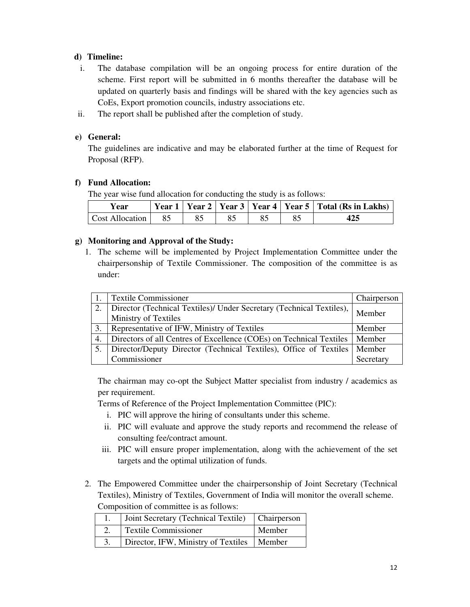# **d) Timeline:**

- i. The database compilation will be an ongoing process for entire duration of the scheme. First report will be submitted in 6 months thereafter the database will be updated on quarterly basis and findings will be shared with the key agencies such as CoEs, Export promotion councils, industry associations etc.
- ii. The report shall be published after the completion of study.

# **e) General:**

The guidelines are indicative and may be elaborated further at the time of Request for Proposal (RFP).

# **f) Fund Allocation:**

The year wise fund allocation for conducting the study is as follows:

| Year                   |    |  |  | Year 1   Year 2   Year 3   Year 4   Year 5   Total (Rs in Lakhs) |
|------------------------|----|--|--|------------------------------------------------------------------|
| <b>Cost Allocation</b> | 85 |  |  | 425                                                              |

# **g) Monitoring and Approval of the Study:**

1. The scheme will be implemented by Project Implementation Committee under the chairpersonship of Textile Commissioner. The composition of the committee is as under:

|     | <b>Textile Commissioner</b>                                          | Chairperson |
|-----|----------------------------------------------------------------------|-------------|
| 2.  | Director (Technical Textiles)/ Under Secretary (Technical Textiles), | Member      |
|     | Ministry of Textiles                                                 |             |
| 3.  | Representative of IFW, Ministry of Textiles                          | Member      |
| 4.  | Directors of all Centres of Excellence (COEs) on Technical Textiles  | Member      |
| .5. | Director/Deputy Director (Technical Textiles), Office of Textiles    | Member      |
|     | Commissioner                                                         | Secretary   |

The chairman may co-opt the Subject Matter specialist from industry / academics as per requirement.

Terms of Reference of the Project Implementation Committee (PIC):

- i. PIC will approve the hiring of consultants under this scheme.
- ii. PIC will evaluate and approve the study reports and recommend the release of consulting fee/contract amount.
- iii. PIC will ensure proper implementation, along with the achievement of the set targets and the optimal utilization of funds.
- 2. The Empowered Committee under the chairpersonship of Joint Secretary (Technical Textiles), Ministry of Textiles, Government of India will monitor the overall scheme. Composition of committee is as follows:

| Joint Secretary (Technical Textile)          | <b>Chairperson</b> |
|----------------------------------------------|--------------------|
| <b>Textile Commissioner</b>                  | Member             |
| Director, IFW, Ministry of Textiles   Member |                    |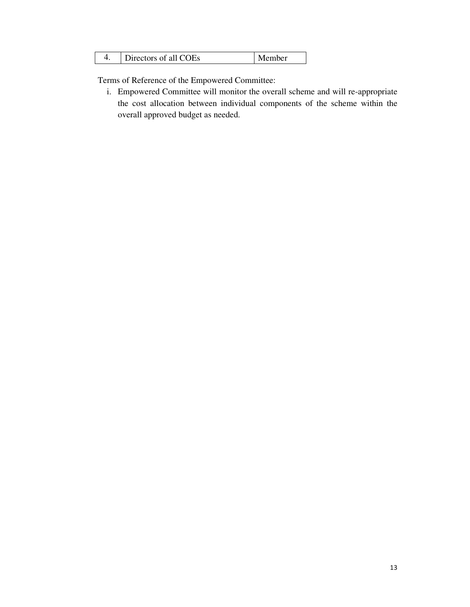| Directors of all COEs | Member |
|-----------------------|--------|
|                       |        |

Terms of Reference of the Empowered Committee: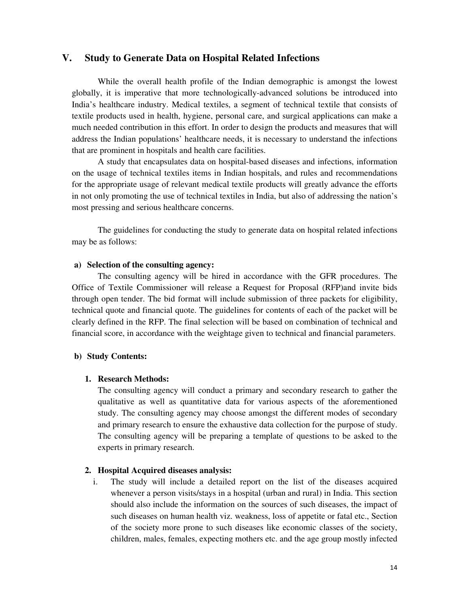## **V. Study to Generate Data on Hospital Related Infections**

While the overall health profile of the Indian demographic is amongst the lowest globally, it is imperative that more technologically-advanced solutions be introduced into India's healthcare industry. Medical textiles, a segment of technical textile that consists of textile products used in health, hygiene, personal care, and surgical applications can make a much needed contribution in this effort. In order to design the products and measures that will address the Indian populations' healthcare needs, it is necessary to understand the infections that are prominent in hospitals and health care facilities.

A study that encapsulates data on hospital-based diseases and infections, information on the usage of technical textiles items in Indian hospitals, and rules and recommendations for the appropriate usage of relevant medical textile products will greatly advance the efforts in not only promoting the use of technical textiles in India, but also of addressing the nation's most pressing and serious healthcare concerns.

The guidelines for conducting the study to generate data on hospital related infections may be as follows:

#### **a) Selection of the consulting agency:**

The consulting agency will be hired in accordance with the GFR procedures. The Office of Textile Commissioner will release a Request for Proposal (RFP)and invite bids through open tender. The bid format will include submission of three packets for eligibility, technical quote and financial quote. The guidelines for contents of each of the packet will be clearly defined in the RFP. The final selection will be based on combination of technical and financial score, in accordance with the weightage given to technical and financial parameters.

#### **b) Study Contents:**

#### **1. Research Methods:**

The consulting agency will conduct a primary and secondary research to gather the qualitative as well as quantitative data for various aspects of the aforementioned study. The consulting agency may choose amongst the different modes of secondary and primary research to ensure the exhaustive data collection for the purpose of study. The consulting agency will be preparing a template of questions to be asked to the experts in primary research.

#### **2. Hospital Acquired diseases analysis:**

i. The study will include a detailed report on the list of the diseases acquired whenever a person visits/stays in a hospital (urban and rural) in India. This section should also include the information on the sources of such diseases, the impact of such diseases on human health viz. weakness, loss of appetite or fatal etc., Section of the society more prone to such diseases like economic classes of the society, children, males, females, expecting mothers etc. and the age group mostly infected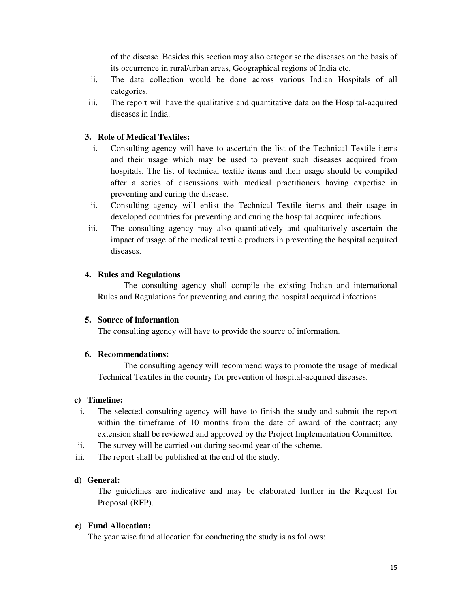of the disease. Besides this section may also categorise the diseases on the basis of its occurrence in rural/urban areas, Geographical regions of India etc.

- ii. The data collection would be done across various Indian Hospitals of all categories.
- iii. The report will have the qualitative and quantitative data on the Hospital-acquired diseases in India.

# **3. Role of Medical Textiles:**

- i. Consulting agency will have to ascertain the list of the Technical Textile items and their usage which may be used to prevent such diseases acquired from hospitals. The list of technical textile items and their usage should be compiled after a series of discussions with medical practitioners having expertise in preventing and curing the disease.
- ii. Consulting agency will enlist the Technical Textile items and their usage in developed countries for preventing and curing the hospital acquired infections.
- iii. The consulting agency may also quantitatively and qualitatively ascertain the impact of usage of the medical textile products in preventing the hospital acquired diseases.

#### **4. Rules and Regulations**

The consulting agency shall compile the existing Indian and international Rules and Regulations for preventing and curing the hospital acquired infections.

#### **5. Source of information**

The consulting agency will have to provide the source of information.

#### **6. Recommendations:**

The consulting agency will recommend ways to promote the usage of medical Technical Textiles in the country for prevention of hospital-acquired diseases.

#### **c) Timeline:**

- i. The selected consulting agency will have to finish the study and submit the report within the timeframe of 10 months from the date of award of the contract; any extension shall be reviewed and approved by the Project Implementation Committee.
- ii. The survey will be carried out during second year of the scheme.
- iii. The report shall be published at the end of the study.

#### **d) General:**

The guidelines are indicative and may be elaborated further in the Request for Proposal (RFP).

#### **e) Fund Allocation:**

The year wise fund allocation for conducting the study is as follows: